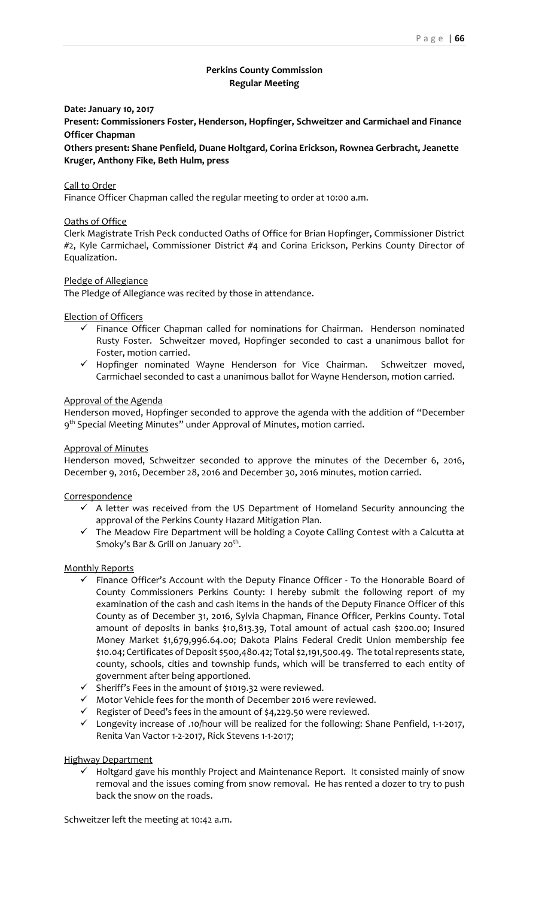# **Perkins County Commission Regular Meeting**

### **Date: January 10, 2017**

**Present: Commissioners Foster, Henderson, Hopfinger, Schweitzer and Carmichael and Finance Officer Chapman**

**Others present: Shane Penfield, Duane Holtgard, Corina Erickson, Rownea Gerbracht, Jeanette Kruger, Anthony Fike, Beth Hulm, press**

### Call to Order

Finance Officer Chapman called the regular meeting to order at 10:00 a.m.

### Oaths of Office

Clerk Magistrate Trish Peck conducted Oaths of Office for Brian Hopfinger, Commissioner District #2, Kyle Carmichael, Commissioner District #4 and Corina Erickson, Perkins County Director of Equalization.

### Pledge of Allegiance

The Pledge of Allegiance was recited by those in attendance.

Election of Officers

- $\checkmark$  Finance Officer Chapman called for nominations for Chairman. Henderson nominated Rusty Foster. Schweitzer moved, Hopfinger seconded to cast a unanimous ballot for Foster, motion carried.
- $\checkmark$  Hopfinger nominated Wayne Henderson for Vice Chairman. Schweitzer moved, Carmichael seconded to cast a unanimous ballot for Wayne Henderson, motion carried.

### Approval of the Agenda

Henderson moved, Hopfinger seconded to approve the agenda with the addition of "December 9<sup>th</sup> Special Meeting Minutes" under Approval of Minutes, motion carried.

#### Approval of Minutes

Henderson moved, Schweitzer seconded to approve the minutes of the December 6, 2016, December 9, 2016, December 28, 2016 and December 30, 2016 minutes, motion carried.

### **Correspondence**

- $\checkmark$  A letter was received from the US Department of Homeland Security announcing the approval of the Perkins County Hazard Mitigation Plan.
- $\checkmark$  The Meadow Fire Department will be holding a Coyote Calling Contest with a Calcutta at Smoky's Bar & Grill on January 20<sup>th</sup>.

### Monthly Reports

- $\checkmark$  Finance Officer's Account with the Deputy Finance Officer To the Honorable Board of County Commissioners Perkins County: I hereby submit the following report of my examination of the cash and cash items in the hands of the Deputy Finance Officer of this County as of December 31, 2016, Sylvia Chapman, Finance Officer, Perkins County. Total amount of deposits in banks \$10,813.39, Total amount of actual cash \$200.00; Insured Money Market \$1,679,996.64.00; Dakota Plains Federal Credit Union membership fee \$10.04; Certificates of Deposit \$500,480.42; Total \$2,191,500.49. The total represents state, county, schools, cities and township funds, which will be transferred to each entity of government after being apportioned.
- Sheriff's Fees in the amount of \$1019.32 were reviewed.
- $\checkmark$  Motor Vehicle fees for the month of December 2016 were reviewed.
- $\checkmark$  Register of Deed's fees in the amount of \$4,229.50 were reviewed.
- Longevity increase of .10/hour will be realized for the following: Shane Penfield, 1‐1‐2017, Renita Van Vactor 1‐2‐2017, Rick Stevens 1‐1‐2017;

### Highway Department

 $\checkmark$  Holtgard gave his monthly Project and Maintenance Report. It consisted mainly of snow removal and the issues coming from snow removal. He has rented a dozer to try to push back the snow on the roads.

Schweitzer left the meeting at 10:42 a.m.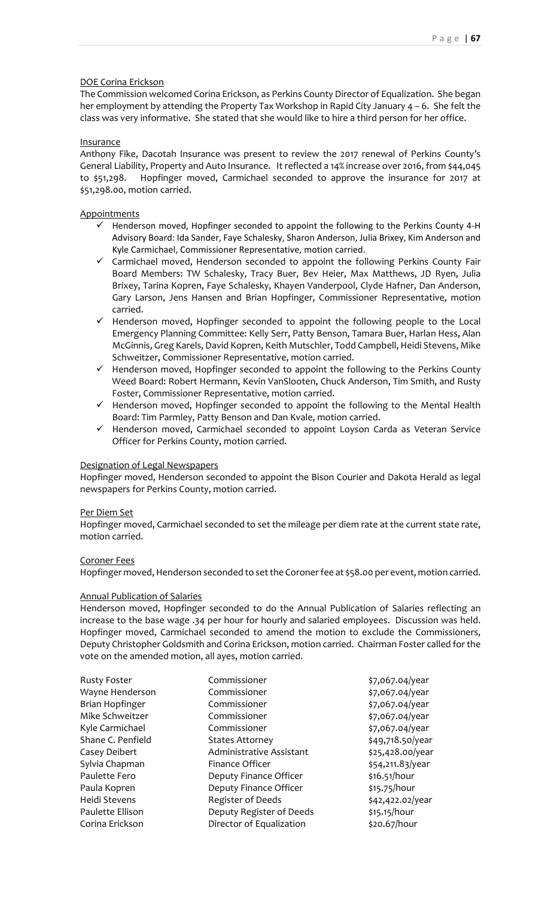# DOE Corina Erickson

The Commission welcomed Corina Erickson, as Perkins County Director of Equalization. She began her employment by attending the Property Tax Workshop in Rapid City January 4 – 6. She felt the class was very informative. She stated that she would like to hire a third person for her office.

### Insurance

Anthony Fike, Dacotah Insurance was present to review the 2017 renewal of Perkins County's General Liability, Property and Auto Insurance. It reflected a 14% increase over 2016, from \$44,045 to \$51,298. Hopfinger moved, Carmichael seconded to approve the insurance for 2017 at \$51,298.00, motion carried.

# **Appointments**

- $\checkmark$  Henderson moved, Hopfinger seconded to appoint the following to the Perkins County 4-H Advisory Board: Ida Sander, Faye Schalesky, Sharon Anderson, Julia Brixey, Kim Anderson and Kyle Carmichael, Commissioner Representative, motion carried.
- $\checkmark$  Carmichael moved, Henderson seconded to appoint the following Perkins County Fair Board Members: TW Schalesky, Tracy Buer, Bev Heier, Max Matthews, JD Ryen, Julia Brixey, Tarina Kopren, Faye Schalesky, Khayen Vanderpool, Clyde Hafner, Dan Anderson, Gary Larson, Jens Hansen and Brian Hopfinger, Commissioner Representative, motion carried.
- $\checkmark$  Henderson moved, Hopfinger seconded to appoint the following people to the Local Emergency Planning Committee: Kelly Serr, Patty Benson, Tamara Buer, Harlan Hess, Alan McGinnis, Greg Karels, David Kopren, Keith Mutschler, Todd Campbell, Heidi Stevens, Mike Schweitzer, Commissioner Representative, motion carried.
- $\checkmark$  Henderson moved, Hopfinger seconded to appoint the following to the Perkins County Weed Board: Robert Hermann, Kevin VanSlooten, Chuck Anderson, Tim Smith, and Rusty Foster, Commissioner Representative, motion carried.
- $\checkmark$  Henderson moved, Hopfinger seconded to appoint the following to the Mental Health Board: Tim Parmley, Patty Benson and Dan Kvale, motion carried.
- $\checkmark$  Henderson moved, Carmichael seconded to appoint Loyson Carda as Veteran Service Officer for Perkins County, motion carried.

### Designation of Legal Newspapers

Hopfinger moved, Henderson seconded to appoint the Bison Courier and Dakota Herald as legal newspapers for Perkins County, motion carried.

### Per Diem Set

Hopfinger moved, Carmichael seconded to set the mileage per diem rate at the current state rate, motion carried.

### Coroner Fees

Hopfinger moved, Henderson seconded to set the Coroner fee at \$58.00 per event, motion carried.

# Annual Publication of Salaries

Henderson moved, Hopfinger seconded to do the Annual Publication of Salaries reflecting an increase to the base wage .34 per hour for hourly and salaried employees. Discussion was held. Hopfinger moved, Carmichael seconded to amend the motion to exclude the Commissioners, Deputy Christopher Goldsmith and Corina Erickson, motion carried. Chairman Foster called for the vote on the amended motion, all ayes, motion carried.

| <b>Rusty Foster</b> | Commissioner             | \$7,067.04/year  |
|---------------------|--------------------------|------------------|
| Wayne Henderson     | Commissioner             | \$7,067.04/year  |
| Brian Hopfinger     | Commissioner             | \$7,067.04/year  |
| Mike Schweitzer     | Commissioner             | \$7,067.04/year  |
| Kyle Carmichael     | Commissioner             | \$7,067.04/year  |
| Shane C. Penfield   | <b>States Attorney</b>   | \$49,718.50/year |
| Casey Deibert       | Administrative Assistant | \$25,428.00/year |
| Sylvia Chapman      | Finance Officer          | \$54,211.83/year |
| Paulette Fero       | Deputy Finance Officer   | \$16.51/hour     |
| Paula Kopren        | Deputy Finance Officer   | \$15.75/hour     |
| Heidi Stevens       | Register of Deeds        | \$42,422.02/year |
| Paulette Ellison    | Deputy Register of Deeds | \$15.15/hour     |
| Corina Erickson     | Director of Equalization | \$20.67/hour     |
|                     |                          |                  |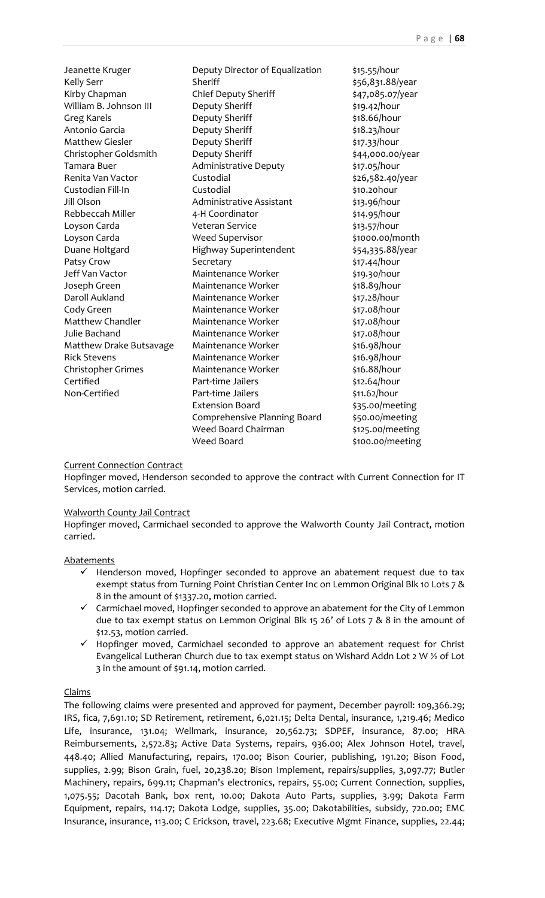| Jeanette Kruger         | Deputy Director of Equalization | \$15.55/hour     |
|-------------------------|---------------------------------|------------------|
| <b>Kelly Serr</b>       | Sheriff                         | \$56,831.88/year |
| Kirby Chapman           | Chief Deputy Sheriff            | \$47,085.07/year |
| William B. Johnson III  | Deputy Sheriff                  | \$19.42/hour     |
| <b>Greg Karels</b>      | Deputy Sheriff                  | \$18.66/hour     |
| Antonio Garcia          | Deputy Sheriff                  | \$18.23/hour     |
| <b>Matthew Giesler</b>  | Deputy Sheriff                  | \$17.33/hour     |
| Christopher Goldsmith   | Deputy Sheriff                  | \$44,000.00/year |
| Tamara Buer             | <b>Administrative Deputy</b>    | \$17.05/hour     |
| Renita Van Vactor       | Custodial                       | \$26,582.40/year |
| Custodian Fill-In       | Custodial                       | \$10.20hour      |
| Jill Olson              | <b>Administrative Assistant</b> | \$13.96/hour     |
| Rebbeccah Miller        | 4-H Coordinator                 | \$14.95/hour     |
| Loyson Carda            | <b>Veteran Service</b>          | \$13.57/hour     |
| Loyson Carda            | <b>Weed Supervisor</b>          | \$1000.00/month  |
| Duane Holtgard          | Highway Superintendent          | \$54,335.88/year |
| Patsy Crow              | Secretary                       | \$17.44/hour     |
| Jeff Van Vactor         | Maintenance Worker              | \$19.30/hour     |
| Joseph Green            | Maintenance Worker              | \$18.89/hour     |
| Daroll Aukland          | Maintenance Worker              | \$17.28/hour     |
| Cody Green              | Maintenance Worker              | \$17.08/hour     |
| <b>Matthew Chandler</b> | Maintenance Worker              | \$17.08/hour     |
| Julie Bachand           | Maintenance Worker              | \$17.08/hour     |
| Matthew Drake Butsavage | Maintenance Worker              | \$16.98/hour     |
| <b>Rick Stevens</b>     | Maintenance Worker              | \$16.98/hour     |
| Christopher Grimes      | Maintenance Worker              | \$16.88/hour     |
| Certified               | Part-time Jailers               | \$12.64/hour     |
| Non-Certified           | Part-time Jailers               | \$11.62/hour     |
|                         | <b>Extension Board</b>          | \$35.00/meeting  |
|                         | Comprehensive Planning Board    | \$50.00/meeting  |
|                         | Weed Board Chairman             | \$125.00/meeting |
|                         | <b>Weed Board</b>               | \$100.00/meeting |

# Current Connection Contract

Hopfinger moved, Henderson seconded to approve the contract with Current Connection for IT Services, motion carried.

# Walworth County Jail Contract

Hopfinger moved, Carmichael seconded to approve the Walworth County Jail Contract, motion carried.

# **Abatements**

- $\checkmark$  Henderson moved, Hopfinger seconded to approve an abatement request due to tax exempt status from Turning Point Christian Center Inc on Lemmon Original Blk 10 Lots 7 & 8 in the amount of \$1337.20, motion carried.
- $\checkmark$  Carmichael moved, Hopfinger seconded to approve an abatement for the City of Lemmon due to tax exempt status on Lemmon Original Blk 15 26' of Lots 7 & 8 in the amount of \$12.53, motion carried.
- $\checkmark$  Hopfinger moved, Carmichael seconded to approve an abatement request for Christ Evangelical Lutheran Church due to tax exempt status on Wishard Addn Lot 2 W ½ of Lot 3 in the amount of \$91.14, motion carried.

# Claims

The following claims were presented and approved for payment, December payroll: 109,366.29; IRS, fica, 7,691.10; SD Retirement, retirement, 6,021.15; Delta Dental, insurance, 1,219.46; Medico Life, insurance, 131.04; Wellmark, insurance, 20,562.73; SDPEF, insurance, 87.00; HRA Reimbursements, 2,572.83; Active Data Systems, repairs, 936.00; Alex Johnson Hotel, travel, 448.40; Allied Manufacturing, repairs, 170.00; Bison Courier, publishing, 191.20; Bison Food, supplies, 2.99; Bison Grain, fuel, 20,238.20; Bison Implement, repairs/supplies, 3,097.77; Butler Machinery, repairs, 699.11; Chapman's electronics, repairs, 55.00; Current Connection, supplies, 1,075.55; Dacotah Bank, box rent, 10.00; Dakota Auto Parts, supplies, 3.99; Dakota Farm Equipment, repairs, 114.17; Dakota Lodge, supplies, 35.00; Dakotabilities, subsidy, 720.00; EMC Insurance, insurance, 113.00; C Erickson, travel, 223.68; Executive Mgmt Finance, supplies, 22.44;